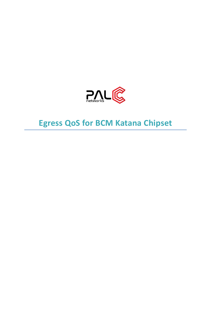

# **Egress QoS for BCM Katana Chipset**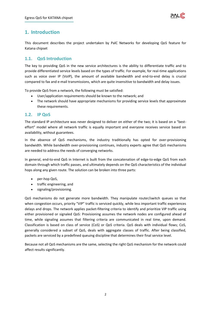

## **1. Introduction**

This document describes the project undertaken by PalC Networks for developing QoS feature for Katana chipset

## **1.1. QoS Introduction**

The key to providing QoS in the new service architectures is the ability to differentiate traffic and to provide differentiated service levels based on the types of traffic. For example, for real-time applications such as voice over IP (VoIP), the amount of available bandwidth and end-to-end delay is crucial compared to fax and e-mail transmissions, which are quite insensitive to bandwidth and delay issues.

To provide QoS from a network, the following must be satisfied:

- User/application requirements should be known to the network; and
- The network should have appropriate mechanisms for providing service levels that approximate these requirements.

## **1.2. IP QoS**

The standard IP architecture was never designed to deliver on either of the two; it is based on a "besteffort" model where all network traffic is equally important and everyone receives service based on availability, without guarantees.

In the absence of QoS mechanisms, the industry traditionally has opted for over-provisioning bandwidth. While bandwidth over-provisioning continues, industry experts agree that QoS mechanisms are needed to address the needs of converging networks.

In general, end-to-end QoS in Internet is built from the concatenation of edge-to-edge QoS from each domain through which traffic passes, and ultimately depends on the QoS characteristics of the individual hops along any given route. The solution can be broken into three parts:

- per-hop QoS,
- traffic engineering, and
- signaling/provisioning.

QoS mechanisms do not generate more bandwidth. They manipulate router/switch queues so that when congestion occurs, priority "VIP" traffic is serviced quickly, while less important traffic experiences delays and drops. The network applies packet-filtering criteria to identify and prioritize VIP traffic using either provisioned or signaled QoS: Provisioning assumes the network nodes are configured ahead of time, while signaling assumes that filtering criteria are communicated in real time, upon demand. Classification is based on class of service (CoS) or QoS criteria. QoS deals with individual flows; CoS, generally considered a subset of QoS, deals with aggregate classes of traffic. After being classified, packets are serviced by a predefined queuing discipline that determines their final service level.

Because not all QoS mechanisms are the same, selecting the right QoS mechanism for the network could affect results significantly.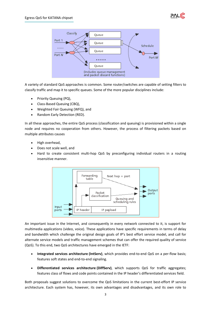



A variety of standard QoS approaches is common. Some router/switches are capable of setting filters to classify traffic and map it to specific queues. Some of the more popular disciplines include:

- Priority Queuing (PQ),
- Class-Based Queuing (CBQ),
- Weighted Fair Queuing (WFQ), and
- Random Early Detection (RED).

In all these approaches, the entire QoS process (classification and queuing) is provisioned within a single node and requires no cooperation from others. However, the process of filtering packets based on multiple attributes causes

- High overhead,
- Does not scale well, and
- Hard to create consistent multi-hop QoS by preconfiguring individual routers in a routing insensitive manner.



An important issue in the Internet, and consequently in every network connected to it, is support for multimedia applications (video, voice). These applications have specific requirements in terms of delay and bandwidth which challenge the original design goals of IP's best effort service model, and call for alternate service models and traffic management schemes that can offer the required quality of service (QoS). To this end, two QoS architectures have emerged in the IETF:

- **Integrated services architecture (IntServ)**, which provides end-to-end QoS on a per-flow basis; features soft states and end-to-end signaling.
- **Differentiated services architecture (DiffServ)**, which supports QoS for traffic aggregates; features class of flows and code points contained in the IP header's differentiated services field.

Both proposals suggest solutions to overcome the QoS limitations in the current best-effort IP service architecture. Each system has, however, its own advantages and disadvantages, and its own role to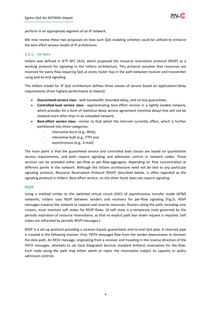

perform in an appropriate segment of an IP network.

We now review these two proposals on how such QoS enabling schemes could be utilized to enhance the best effort service model of IP architecture

#### **1.2.1. Int Serv**

IntServ was defined in IETF RFC 1633, which proposed the resource reservation protocol (RSVP) as a working protocol for signaling in the IntServ architecture. This protocol assumes that resources are reserved for every flow requiring QoS at every router hop in the path between receiver and transmitter using end-to-end signaling.

The IntServ model for IP QoS architecture defines three classes of service based on applications'delay requirements (from highest performance to lowest):

- **Guaranteed-service class** with bandwidth, bounded delay, and no-loss guarantees;
- **Controlled-load service class** approximating best-effort service in a lightly loaded network, which provides for a form of statistical delay service agreement (nominal delay) that will not be violated more often than in an unloaded network;
- **Best-effort service class** similar to that which the Internet currently offers, which is further partitioned into three categories:
	- · interactive burst (e.g., Web),
	- interactive bulk (e.g., FTP) and
	- · asynchronous (e.g., e-mail)

The main point is that the guaranteed service and controlled load classes are based on quantitative service requirements, and both require signaling and admission control in network nodes. These services can be provided either per-flow or per-flow-aggregate, depending on flow concentration at different points in the network. Although the IntServ architecture need not be tied to any particular signaling protocol, Resource Reservation Protocol (RSVP) described below, is often regarded as the signaling protocol in IntServ. Best-effort service, on the other hand, does not require signaling.

#### **RSVP**

Using a method similar to the switched virtual circuit (SVC) of asynchronous transfer mode (ATM) networks, IntServ uses RSVP between senders and receivers for per-flow signaling (Fig.5). RSVP messages traverse the network to request and reserve resources. Routers along the path, including core routers, must maintain soft states for RSVP flows. (A soft state is a temporary state governed by the periodic expiration of resource reservations, so that no explicit path tear down request is required. Soft states are refreshed by periodic RSVP messages.)

RSVP is a set-up protocol providing a receiver-based, guaranteed, end-to-end QoS pipe. A reserved pipe is created in the following manner: First, PATH messages flow from the sender downstream to discover the data path. An RESV message, originating from a receiver and traveling in the reverse direction of the PATH messages, attempts to set local Integrated Services standard (IntServ) reservation for the flow. Each node along the path may either admit or reject the reservation subject to capacity or policy admission controls.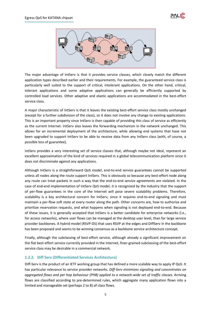



The major advantage of IntServ is that it provides service classes, which closely match the different application types described earlier and their requirements. For example, the guaranteed service class is particularly well suited to the support of critical, intolerant applications. On the other hand, critical, tolerant applications and some adaptive applications can generally be efficiently supported by controlled load services. Other adaptive and elastic applications are accommodated in the best-effort service class.

A major characteristic of IntServ is that it leaves the existing best-effort service class mostly unchanged (except for a further subdivision of the class), so it does not involve any change to existing applications. This is an important property since IntServ is then capable of providing this class of service as efficiently as the current Internet. IntServ also leaves the forwarding mechanism in the network unchanged. This allows for an incremental deployment of the architecture, while allowing end systems that have not been upgraded to support IntServ to be able to receive data from any IntServ class (with, of course, a possible loss of guarantee).

IntServ provides a very interesting set of service classes that, although maybe not ideal, represent an excellent approximation of the kind of services required in a global telecommunication platform since it does not discriminate against any applications.

Although IntServ is a straightforward QoS model, end-to-end service guarantees cannot be supported unless all nodes along the route support IntServ. This is obviously so because any best-effort node along any route can treat packets in such a way that the end-to-end service agreements are violated. In the case of end-end implementation of IntServ QoS model, it is recognized by the industry that the support of per-flow guarantees in the core of the Internet will pose severe scalability problems. Therefore, scalability is a key architectural concern for IntServ, since it requires end-to-end signaling and must maintain a per-flow soft state at every router along the path. Other concerns are, how to authorize and prioritize reservation requests, and what happens when signaling is not deployed end-to-end. Because of these issues, it is generally accepted that IntServ is a better candidate for enterprise networks (i.e., for access networks), where user flows can be managed at the desktop user level, than for large service provider backbones. A hybrid model (RSVP-DS) that uses RSVP at the edges and DiffServ in the backbone has been proposed and seems to be winning consensus as a backbone service architecture concept.

Finally, although the subclassing of best-effort service, although already a significant improvement on the flat best-effort service currently provided in the Internet, finer-grained subclassing of the best-effort service class may be desirable in a commercial network.

### **1.2.2. Diff Serv (Differentiated Services Architecture)**

Diff-Serv is the product of an IETF working group that has defined a more scalable way to apply IP QoS. It has particular relevance to service provider networks. *Diff-Serv minimizes signaling and concentrates on aggregated flows and per hop behaviour (PHB) applied to a network-wide set of traffic classes.* Arriving flows are classified according to pre-determined rules, which aggregate many application flows into a limited and manageable set (perhaps 2 to 8) of class flows.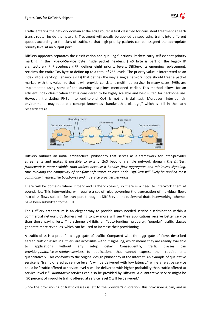

Traffic entering the network domain at the edge router is first classified for consistent treatment at each transit router inside the network. Treatment will usually be applied by separating traffic into different queues according to the class of traffic, so that high-priority packets can be assigned the appropriate priority level at an output port.

DiffServ approach separates the classification and queuing functions. Packets carry self-evident priority marking in the Type-of-Service byte inside packet headers. (ToS byte is part of the legacy IP architecture.) IP Precedence (IPP) defines eight priority levels. DiffServ, its emerging replacement, reclaims the entire ToS byte to define up to a total of 256 levels. The priority value is interpreted as an index into a Per-Hop Behavior (PHB) that defines the way a single network node should treat a packet marked with this value, so that it will provide consistent multi-hop service. In many cases, PHBs are implemented using some of the queuing disciplines mentioned earlier. This method allows for an efficient index classification that is considered to be highly scalable and best suited for backbone use. However, translating PHBs into end-to-end QoS is not a trivial task. Moreover, inter-domain environments may require a concept known as "bandwidth brokerage," which is still in the early research stage.



DiffServ outlines an initial architectural philosophy that serves as a framework for inter-provider agreements and makes it possible to extend QoS beyond a single network domain. *The DiffServ framework is more scalable than IntServ because it handles flow aggregates and minimizes signaling, thus avoiding the complexity of per-flow soft states at each node. Diff-Serv will likely be applied most commonly in enterprise backbones and in service provider networks*.

There will be domains where IntServ and DiffServ coexist, so there is a need to interwork them at boundaries. This interworking will require a set of rules governing the aggregation of individual flows into class flows suitable for transport through a Diff-Serv domain. Several draft interworking schemes have been submitted to the IETF.

The DiffServ architecture is an elegant way to provide much needed service discrimination within a commercial network. Customers willing to pay more will see their applications receive better service than those paying less. This scheme exhibits an "auto-funding" property: "popular" traffic classes generate more revenues, which can be used to increase their provisioning.

A traffic class is a predefined aggregate of traffic. Compared with the aggregate of flows described earlier, traffic classes in DiffServ are accessible without signaling, which means they are readily available to applications without any setup delay. Consequently, traffic classes can provide *qualitative* or *relative* services to applications that cannot express their requirements quantitatively. This conforms to the original design philosophy of the Internet. An example of qualitative service is "traffic offered at service level A will be delivered with low latency," while a relative service could be "traffic offered at service level A will be delivered with higher probability than traffic offered at service level B." *Quantitative* services can also be provided by DiffServ. A quantitative service might be "90 percent of in-profile traffic offered at service level C will be delivered."

Since the provisioning of traffic classes is left to the provider's discretion, this provisioning can, and in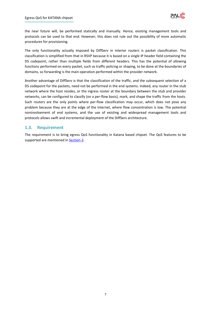

the near future will, be performed statically and manually. Hence, existing management tools and protocols can be used to that end. However, this does not rule out the possibility of more automatic procedures for provisioning.

The only functionality actually imposed by DiffServ in interior routers is packet classification. This classification is simplified from that in RSVP because it is based on a single IP header field containing the DS codepoint, rather than multiple fields from different headers. This has the potential of allowing functions performed on every packet, such as traffic policing or shaping, to be done at the boundaries of domains, so forwarding is the main operation performed within the provider network.

Another advantage of DiffServ is that the classification of the traffic, and the subsequent selection of a DS codepoint for the packets, need not be performed in the end systems. Indeed, any router in the stub network where the host resides, or the ingress router at the boundary between the stub and provider networks, can be configured to classify (on a per-flow basis), mark, and shape the traffic from the hosts. Such routers are the only points where per-flow classification may occur, which does not pose any problem because they are at the edge of the Internet, where flow concentration is low. The potential noninvolvement of end systems, and the use of existing and widespread management tools and protocols allows swift and incremental deployment of the DiffServ architecture.

## **1.3. Requirement**

The requirement is to bring egress QoS functionality in Katana based chipset. The QoS features to be supported are mentioned in **Section-3**.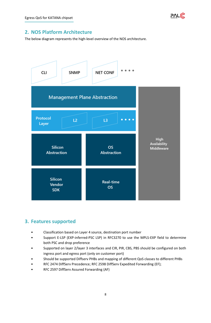

## **2. NOS Platform Architecture**

The below diagram represents the high-level overview of the NOS architecture.



## <span id="page-7-0"></span>**3. Features supported**

- Classification based on Layer 4 source, destination port number
- Support E-LSP (EXP-inferred-PSC LSP) in RFC3270 to use the MPLS-EXP field to determine both PSC and drop preference
- Supported on layer 2/layer 3 interfaces and CIR, PIR, CBS, PBS should be configured on both ingress port and egress port (only on customer port)
- Should be supported Diffserv PHBs and mapping of different QoS classes to different PHBs
- RFC 2474 DiffServ Precedence; RFC 2598 DiffServ Expedited Forwarding (EF);
- RFC 2597 DiffServ Assured Forwarding (AF)